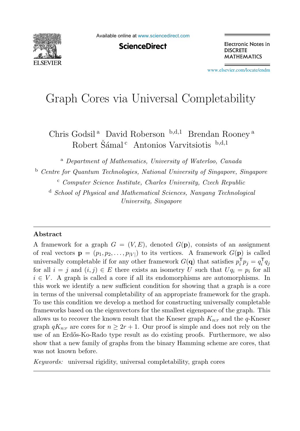

Available online at [www.sciencedirect.com](http://www.sciencedirect.com)

**ScienceDirect** 

Electronic Notes in **DISCRETE MATHEMATICS** 

[www.elsevier.com/locate/endm](http://www.elsevier.com/locate/endm)

# Graph Cores via Universal Completability

Chris Godsil<sup>a</sup> David Roberson <sup>b,d,1</sup> Brendan Rooney<sup>a</sup> Robert Šámal <sup>c</sup> Antonios Varvitsiotis  $b,d,1$ 

<sup>a</sup> *Department of Mathematics, University of Waterloo, Canada*

<sup>b</sup> *Centre for Quantum Technologies, National University of Singapore, Singapore* <sup>c</sup> *Computer Science Institute, Charles University, Czech Republic*

<sup>d</sup> *School of Physical and Mathematical Sciences, Nanyang Technological University, Singapore*

### **Abstract**

A framework for a graph  $G = (V, E)$ , denoted  $G(\mathbf{p})$ , consists of an assignment of real vectors  $\mathbf{p} = (p_1, p_2, \dots, p_{|V|})$  to its vertices. A framework  $G(\mathbf{p})$  is called universally completable if for any other framework  $G(\mathbf{q})$  that satisfies  $p_i^{\mathsf{T}} p_j = q_i^{\mathsf{T}} q_j$ for all  $i = j$  and  $(i, j) \in E$  there exists an isometry U such that  $Uq_i = p_i$  for all  $i \in V$ . A graph is called a core if all its endomorphisms are automorphisms. In this work we identify a new sufficient condition for showing that a graph is a core in terms of the universal completability of an appropriate framework for the graph. To use this condition we develop a method for constructing universally completable frameworks based on the eigenvectors for the smallest eigenspace of the graph. This allows us to recover the known result that the Kneser graph  $K_{n:r}$  and the q-Kneser graph  $qK_{n,r}$  are cores for  $n \geq 2r+1$ . Our proof is simple and does not rely on the use of an Erdős-Ko-Rado type result as do existing proofs. Furthermore, we also show that a new family of graphs from the binary Hamming scheme are cores, that was not known before.

*Keywords:* universal rigidity, universal completability, graph cores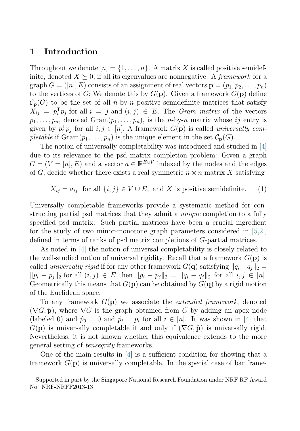# **1 Introduction**

Throughout we denote  $[n] = \{1, \ldots, n\}$ . A matrix X is called positive semidefinite, denoted  $X \succeq 0$ , if all its eigenvalues are nonnegative. A *framework* for a graph  $G = ([n], E)$  consists of an assignment of real vectors  $\mathbf{p} = (p_1, p_2, \ldots, p_n)$ to the vertices of G; We denote this by  $G(\mathbf{p})$ . Given a framework  $G(\mathbf{p})$  define  $\mathcal{C}_{\mathbf{p}}(G)$  to be the set of all *n*-by-*n* positive semidefinite matrices that satisfy  $\tilde{X}_{ij} = p_i^{\mathsf{T}} p_j$  for all  $i = j$  and  $(i, j) \in E$ . The *Gram matrix* of the vectors  $p_1,\ldots,p_n$ , denoted  $Gram(p_1,\ldots,p_n)$ , is the *n*-by-*n* matrix whose ij entry is given by  $p_i^{\mathsf{T}} p_j$  for all  $i, j \in [n]$ . A framework  $G(\mathbf{p})$  is called *universally com*pletable if  $\text{Gram}(p_1,\ldots,p_n)$  is the unique element in the set  $\mathcal{C}_{\mathbf{p}}(G)$ .

The notion of universally completability was introduced and studied in [\[4\]](#page-7-0) due to its relevance to the psd matrix completion problem: Given a graph  $G = (V = [n], E)$  and a vector  $a \in \mathbb{R}^{E \cup V}$  indexed by the nodes and the edges of G, decide whether there exists a real symmetric  $n \times n$  matrix X satisfying

 $X_{ij} = a_{ij}$  for all  $\{i, j\} \in V \cup E$ , and X is positive semidefinite. (1)

Universally completable frameworks provide a systematic method for constructing partial psd matrices that they admit a unique completion to a fully specified psd matrix. Such partial matrices have been a crucial ingredient for the study of two minor-monotone graph parameters considered in  $[5,2]$ , defined in terms of ranks of psd matrix completions of G-partial matrices.

As noted in [\[4\]](#page-7-0) the notion of universal completability is closely related to the well-studied notion of universal rigidity. Recall that a framework  $G(\mathbf{p})$  is called *universally rigid* if for any other framework  $G(q)$  satisfying  $||q_i - q_j||_2 =$  $||p_i - p_j||_2$  for all  $(i, j) \in E$  then  $||p_i - p_j||_2 = ||q_i - q_j||_2$  for all  $i, j \in [n]$ . Geometrically this means that  $G(\mathbf{p})$  can be obtained by  $G(\mathbf{q})$  by a rigid motion of the Euclidean space.

To any framework G(**p**) we associate the extended framework, denoted  $(\nabla G, \hat{\mathbf{p}})$ , where  $\nabla G$  is the graph obtained from G by adding an apex node (labeled 0) and  $\hat{p}_0 = 0$  and  $\hat{p}_i = p_i$  for all  $i \in [n]$ . It was shown in [\[4\]](#page-7-0) that  $G(\mathbf{p})$  is universally completable if and only if  $(\nabla G, \hat{\mathbf{p}})$  is universally rigid. Nevertheless, it is not known whether this equivalence extends to the more general setting of tensegrity frameworks.

One of the main results in [\[4\]](#page-7-0) is a sufficient condition for showing that a framework  $G(\mathbf{p})$  is universally completable. In the special case of bar frame-

<sup>1</sup> Supported in part by the Singapore National Research Foundation under NRF RF Award No. NRF-NRFF2013-13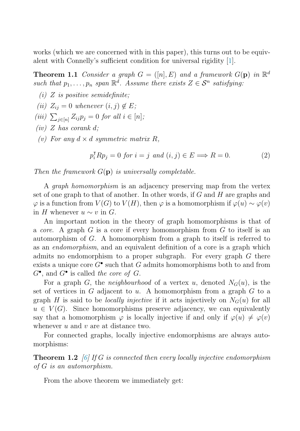<span id="page-2-0"></span>works (which we are concerned with in this paper), this turns out to be equivalent with Connelly's sufficient condition for universal rigidity [\[1\]](#page-7-0).

**Theorem 1.1** Consider a graph  $G = ([n], E)$  and a framework  $G(\mathbf{p})$  in  $\mathbb{R}^d$ such that  $p_1, \ldots, p_n$  span  $\mathbb{R}^d$ . Assume there exists  $Z \in \mathcal{S}^n$  satisfying:

- (i)  $Z$  is positive semidefinite;
- (ii)  $Z_{ii} = 0$  whenever  $(i, j) \notin E$ ;
- (iii)  $\sum_{j \in [n]} Z_{ij} p_j = 0$  for all  $i \in [n]$ ;
- $(iv)$  Z has corank d;
- (v) For any  $d \times d$  symmetric matrix R,

$$
p_i^{\mathsf{T}} R p_j = 0 \text{ for } i = j \text{ and } (i, j) \in E \Longrightarrow R = 0. \tag{2}
$$

Then the framework  $G(\mathbf{p})$  is universally completable.

A graph homomorphism is an adjacency preserving map from the vertex set of one graph to that of another. In other words, if  $G$  and  $H$  are graphs and  $\varphi$  is a function from  $V(G)$  to  $V(H)$ , then  $\varphi$  is a homomorphism if  $\varphi(u) \sim \varphi(v)$ in H whenever  $u \sim v$  in G.

An important notion in the theory of graph homomorphisms is that of a *core*. A graph  $G$  is a core if every homomorphism from  $G$  to itself is an automorphism of G. A homomorphism from a graph to itself is referred to as an endomorphism, and an equivalent definition of a core is a graph which admits no endomorphism to a proper subgraph. For every graph  $G$  there exists a unique core  $G^{\bullet}$  such that G admits homomorphisms both to and from  $G^{\bullet}$ , and  $G^{\bullet}$  is called the core of G.

For a graph G, the *neighbourhood* of a vertex u, denoted  $N_G(u)$ , is the set of vertices in  $G$  adjacent to  $u$ . A homomorphism from a graph  $G$  to a graph H is said to be locally injective if it acts injectively on  $N_G(u)$  for all  $u \in V(G)$ . Since homomorphisms preserve adjacency, we can equivalently say that a homomorphism  $\varphi$  is locally injective if and only if  $\varphi(u) \neq \varphi(v)$ whenever  $u$  and  $v$  are at distance two.

For connected graphs, locally injective endomorphisms are always automorphisms:

**Theorem 1.2** [\[6\]](#page-7-0) If G is connected then every locally injective endomorphism of G is an automorphism.

From the above theorem we immediately get: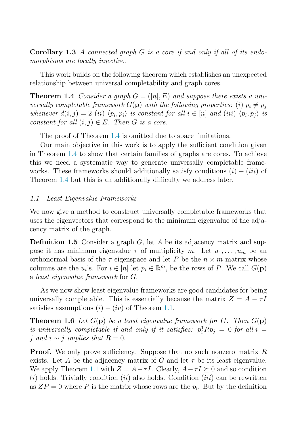<span id="page-3-0"></span>**Corollary 1.3** A connected graph G is a core if and only if all of its endomorphisms are locally injective.

This work builds on the following theorem which establishes an unexpected relationship between universal completability and graph cores.

**Theorem 1.4** Consider a graph  $G = ([n], E)$  and suppose there exists a universally completable framework  $G(\mathbf{p})$  with the following properties: (i)  $p_i \neq p_j$ whenever  $d(i, j) = 2$  (ii)  $\langle p_i, p_i \rangle$  is constant for all  $i \in [n]$  and (iii)  $\langle p_i, p_j \rangle$  is constant for all  $(i, j) \in E$ . Then G is a core.

The proof of Theorem 1.4 is omitted due to space limitations.

Our main objective in this work is to apply the sufficient condition given in Theorem 1.4 to show that certain families of graphs are cores. To achieve this we need a systematic way to generate universally completable frameworks. These frameworks should additionally satisfy conditions  $(i) - (iii)$  of Theorem 1.4 but this is an additionally difficulty we address later.

### 1.1 Least Eigenvalue Frameworks

We now give a method to construct universally completable frameworks that uses the eigenvectors that correspond to the minimum eigenvalue of the adjacency matrix of the graph.

**Definition 1.5** Consider a graph G, let A be its adjacency matrix and suppose it has minimum eigenvalue  $\tau$  of multiplicity m. Let  $u_1, \ldots, u_m$  be an orthonormal basis of the  $\tau$ -eigenspace and let P be the  $n \times m$  matrix whose columns are the  $u_i$ 's. For  $i \in [n]$  let  $p_i \in \mathbb{R}^m$ , be the rows of P. We call  $G(\mathbf{p})$ a least eigenvalue framework for G.

As we now show least eigenvalue frameworks are good candidates for being universally completable. This is essentially because the matrix  $Z = A - \tau I$ satisfies assumptions  $(i) - (iv)$  of Theorem [1.1.](#page-2-0)

**Theorem 1.6** Let  $G(\mathbf{p})$  be a least eigenvalue framework for G. Then  $G(\mathbf{p})$ is universally completable if and only if it satisfies:  $p_i^{\dagger} R p_j = 0$  for all  $i =$ j and  $i \sim j$  implies that  $R = 0$ .

**Proof.** We only prove sufficiency. Suppose that no such nonzero matrix R exists. Let A be the adjacency matrix of G and let  $\tau$  be its least eigenvalue. We apply Theorem [1.1](#page-2-0) with  $Z = A - \tau I$ . Clearly,  $A - \tau I \succeq 0$  and so condition  $(i)$  holds. Trivially condition  $(ii)$  also holds. Condition  $(iii)$  can be rewritten as  $ZP = 0$  where P is the matrix whose rows are the  $p_i$ . But by the definition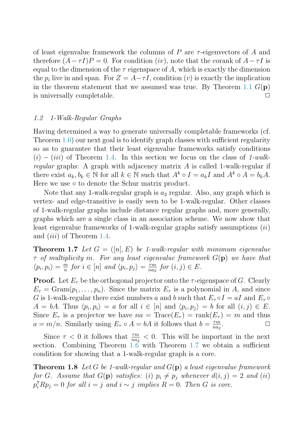<span id="page-4-0"></span>of least eigenvalue framework the columns of  $P$  are  $\tau$ -eigenvectors of  $A$  and therefore  $(A - \tau I)P = 0$ . For condition (iv), note that the corank of  $A - \tau I$  is equal to the dimension of the  $\tau$  eigenspace of A, which is exactly the dimension the  $p_i$  live in and span. For  $Z = A - \tau I$ , condition (v) is exactly the implication in the theorem statement that we assumed was true. By Theorem [1.1](#page-2-0)  $G(\mathbf{p})$ is universally completable.  $\Box$ 

### 1.2 1-Walk-Regular Graphs

Having determined a way to generate universally completable frameworks (cf. Theorem [1.6\)](#page-3-0) our next goal is to identify graph classes with sufficient regularity so as to guarantee that their least eigenvalue frameworks satisfy conditions  $(i) - (iii)$  of Theorem [1.4.](#page-3-0) In this section we focus on the class of 1-walkregular graphs: A graph with adjacency matrix  $A$  is called 1-walk-regular if there exist  $a_k, b_k \in \mathbb{N}$  for all  $k \in \mathbb{N}$  such that  $A^k \circ I = a_k I$  and  $A^k \circ A = b_k A$ . Here we use ∘ to denote the Schur matrix product.

Note that any 1-walk-regular graph is  $a_2$  regular. Also, any graph which is vertex- and edge-transitive is easily seen to be 1-walk-regular. Other classes of 1-walk-regular graphs include distance regular graphs and, more generally, graphs which are a single class in an association scheme. We now show that least eigenvalue frameworks of 1-walk-regular graphs satisfy assumptions (ii) and *(iii)* of Theorem [1.4.](#page-3-0)

**Theorem 1.7** Let  $G = (n, E)$  be 1-walk-regular with minimum eigenvalue  $\tau$  of multiplicity m. For any least eigenvalue framework  $G(\mathbf{p})$  we have that  $\langle p_i, p_i \rangle = \frac{\overline{m}}{n}$  for  $i \in [n]$  and  $\langle p_i, p_j \rangle = \frac{\overline{r}m}{n a_2}$  for  $(i, j) \in E$ .

**Proof.** Let  $E_{\tau}$  be the orthogonal projector onto the  $\tau$ -eigenspace of G. Clearly  $E_{\tau} = \text{Gram}(p_1, \ldots, p_n)$ . Since the matrix  $E_{\tau}$  is a polynomial in A, and since G is 1-walk-regular there exist numbers a and b such that  $E_{\tau} \circ I = aI$  and  $E_{\tau} \circ$  $A = bA$ . Thus  $\langle p_i, p_i \rangle = a$  for all  $i \in [n]$  and  $\langle p_i, p_j \rangle = b$  for all  $(i, j) \in E$ . Since  $E_{\tau}$  is a projector we have  $na = \text{Trace}(E_{\tau}) = \text{rank}(E_{\tau}) = m$  and thus  $a = m/n$ . Similarly using  $E_{\tau} \circ A = bA$  it follows that  $b = \frac{\tau m}{n a_2}$ .

Since  $\tau < 0$  it follows that  $\frac{\tau m}{n a_2} < 0$ . This will be important in the next section. Combining Theorem [1.6](#page-3-0) with Theorem 1.7 we obtain a sufficient condition for showing that a 1-walk-regular graph is a core.

**Theorem 1.8** Let G be 1-walk-regular and G(**p**) a least eigenvalue framework for G. Assume that  $G(\mathbf{p})$  satisfies: (i)  $p_i \neq p_j$  whenever  $d(i, j) = 2$  and (ii)  $p_i^{\dagger} R p_j = 0$  for all  $i = j$  and  $i \sim j$  implies  $R = 0$ . Then G is core.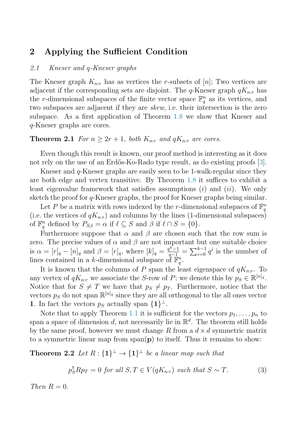# <span id="page-5-0"></span>**2 Applying the Sufficient Condition**

### 2.1 Kneser and q-Kneser graphs

The Kneser graph  $K_{n,r}$  has as vertices the r-subsets of [n]; Two vertices are adjacent if the corresponding sets are disjoint. The q-Kneser graph  $qK_{n:r}$  has the r-dimensional subspaces of the finite vector space  $\mathbb{F}_q^n$  as its vertices, and two subspaces are adjacent if they are skew, i.e. their intersection is the zero subspace. As a first application of Theorem [1.8](#page-4-0) we show that Kneser and q-Kneser graphs are cores.

### **Theorem 2.1** For  $n \geq 2r + 1$ , both  $K_{n:r}$  and  $qK_{n:r}$  are cores.

Even though this result is known, our proof method is interesting as it does not rely on the use of an Erdős-Ko-Rado type result, as do existing proofs [\[3\]](#page-7-0).

Kneser and  $q$ -Kneser graphs are easily seen to be 1-walk-regular since they are both edge and vertex transitive. By Theorem [1.8](#page-4-0) it suffices to exhibit a least eigenvalue framework that satisfies assumptions  $(i)$  and  $(ii)$ . We only sketch the proof for q-Kneser graphs, the proof for Kneser graphs being similar.

Let P be a matrix with rows indexed by the r-dimensional subspaces of  $\mathbb{F}_q^n$ (i.e. the vertices of  $qK_{n:r}$ ) and columns by the lines (1-dimensional subspaces) of  $\mathbb{F}_q^n$  defined by  $P_{S,\ell} = \alpha$  if  $\ell \subseteq S$  and  $\beta$  if  $\ell \cap S = \{0\}.$ 

Furthermore suppose that  $\alpha$  and  $\beta$  are chosen such that the row sum is zero. The precise values of  $\alpha$  and  $\beta$  are not important but one suitable choice is  $\alpha = [r]_q - [n]_q$  and  $\beta = [r]_q$ , where  $[k]_q = \frac{q^{k-1}}{q-1} = \sum_{i=0}^{k-1} q^i$  is the number of lines contained in a k-dimensional subspace of  $\mathbb{F}_q^n$ .

It is known that the columns of P span the least eigenspace of  $qK_{n:r}$ . To any vertex of  $qK_{n:r}$  we associate the S-row of P; we denote this by  $p_S \in \mathbb{R}^{[n]_q}$ . Notice that for  $S \neq T$  we have that  $p_S \neq p_T$ . Furthermore, notice that the vectors  $p_S$  do not span  $\mathbb{R}^{[n]_q}$  since they are all orthogonal to the all ones vector **1**. In fact the vectors  $p_S$  actually span  $\{1\}^{\perp}$ .

Note that to apply Theorem [1.1](#page-2-0) it is sufficient for the vectors  $p_1, \ldots, p_n$  to span a space of dimension d, not necessarily lie in  $\mathbb{R}^d$ . The theorem still holds by the same proof, however we must change R from a  $d \times d$  symmetric matrix to a symmetric linear map from  $\text{span}(\mathbf{p})$  to itself. Thus it remains to show:

**Theorem 2.2** Let  $R: \{1\}^{\perp} \to \{1\}^{\perp}$  be a linear map such that

$$
p_S^{\mathsf{T}}Rp_T = 0 \text{ for all } S, T \in V(qK_{n:r}) \text{ such that } S \sim T. \tag{3}
$$

Then  $R=0$ .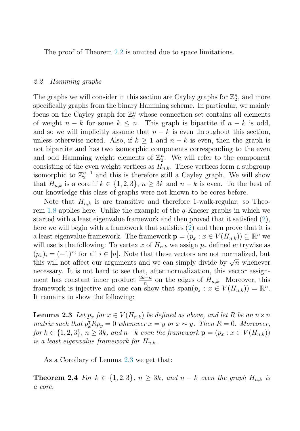The proof of Theorem [2.2](#page-5-0) is omitted due to space limitations.

#### 2.2 Hamming graphs

The graphs we will consider in this section are Cayley graphs for  $\mathbb{Z}_2^n$ , and more specifically graphs from the binary Hamming scheme. In particular, we mainly focus on the Cayley graph for  $\mathbb{Z}_2^n$  whose connection set contains all elements of weight  $n - k$  for some  $k \leq n$ . This graph is bipartite if  $n - k$  is odd, and so we will implicitly assume that  $n - k$  is even throughout this section, unless otherwise noted. Also, if  $k \geq 1$  and  $n - k$  is even, then the graph is not bipartite and has two isomorphic components corresponding to the even and odd Hamming weight elements of  $\mathbb{Z}_2^n$ . We will refer to the component consisting of the even weight vertices as  $H_{n,k}$ . These vertices form a subgroup isomorphic to  $\mathbb{Z}_2^{n-1}$  and this is therefore still a Cayley graph. We will show that  $H_{n,k}$  is a core if  $k \in \{1,2,3\}, n \geq 3k$  and  $n - k$  is even. To the best of our knowledge this class of graphs were not known to be cores before.

Note that  $H_{n,k}$  is arc transitive and therefore 1-walk-regular; so Theorem [1.8](#page-4-0) applies here. Unlike the example of the q-Kneser graphs in which we started with a least eigenvalue framework and then proved that it satisfied [\(2\)](#page-2-0), here we will begin with a framework that satisfies [\(2\)](#page-2-0) and then prove that it is a least eigenvalue framework. The framework  $\mathbf{p} = (p_x : x \in V(H_{n,k})) \subseteq \mathbb{R}^n$  we will use is the following: To vertex x of  $H_{n,k}$  we assign  $p_x$  defined entrywise as  $(p_x)_i = (-1)^{x_i}$  for all  $i \in [n]$ . Note that these vectors are not normalized, but this will not affect our arguments and we can simply divide by  $\sqrt{n}$  whenever necessary. It is not hard to see that, after normalization, this vector assignment has constant inner product  $\frac{2k-n}{n}$  on the edges of  $H_{n,k}$ . Moreover, this framework is injective and one can show that  $\text{span}(p_x : x \in V(H_{n,k})) = \mathbb{R}^n$ . It remains to show the following:

**Lemma 2.3** Let  $p_x$  for  $x \in V(H_{n,k})$  be defined as above, and let R be an  $n \times n$ matrix such that  $p_x^{\dagger}Rp_y=0$  whenever  $x=y$  or  $x \sim y$ . Then  $R=0$ . Moreover, for  $k \in \{1, 2, 3\}$ ,  $n \geq 3k$ , and  $n-k$  even the framework  $\mathbf{p} = (p_x : x \in V(H_{n,k}))$ is a least eigenvalue framework for  $H_{n,k}$ .

As a Corollary of Lemma 2.3 we get that:

**Theorem 2.4** For  $k \in \{1,2,3\}$ ,  $n \geq 3k$ , and  $n - k$  even the graph  $H_{n,k}$  is a core.